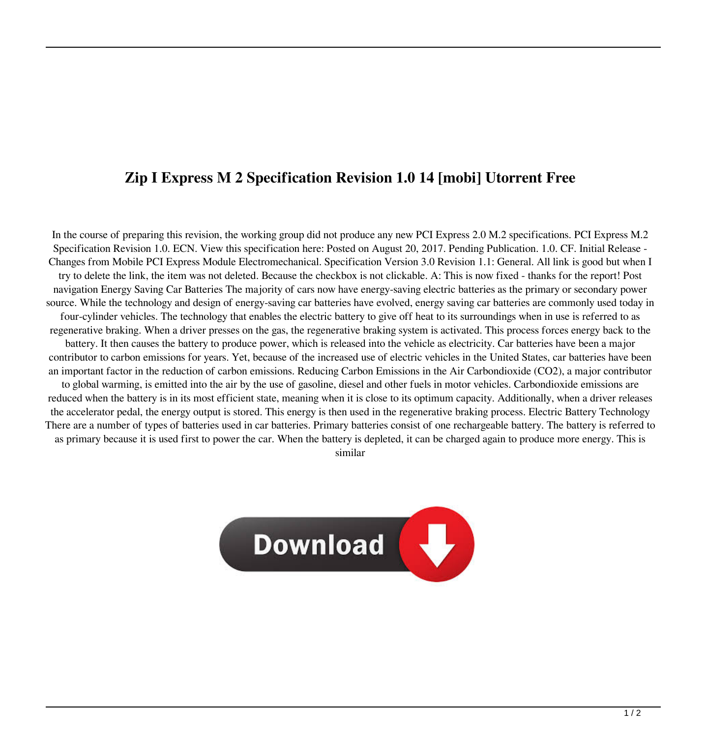## **Zip I Express M 2 Specification Revision 1.0 14 [mobi] Utorrent Free**

In the course of preparing this revision, the working group did not produce any new PCI Express 2.0 M.2 specifications. PCI Express M.2 Specification Revision 1.0. ECN. View this specification here: Posted on August 20, 2017. Pending Publication. 1.0. CF. Initial Release - Changes from Mobile PCI Express Module Electromechanical. Specification Version 3.0 Revision 1.1: General. All link is good but when I try to delete the link, the item was not deleted. Because the checkbox is not clickable. A: This is now fixed - thanks for the report! Post navigation Energy Saving Car Batteries The majority of cars now have energy-saving electric batteries as the primary or secondary power source. While the technology and design of energy-saving car batteries have evolved, energy saving car batteries are commonly used today in four-cylinder vehicles. The technology that enables the electric battery to give off heat to its surroundings when in use is referred to as regenerative braking. When a driver presses on the gas, the regenerative braking system is activated. This process forces energy back to the battery. It then causes the battery to produce power, which is released into the vehicle as electricity. Car batteries have been a major contributor to carbon emissions for years. Yet, because of the increased use of electric vehicles in the United States, car batteries have been an important factor in the reduction of carbon emissions. Reducing Carbon Emissions in the Air Carbondioxide (CO2), a major contributor to global warming, is emitted into the air by the use of gasoline, diesel and other fuels in motor vehicles. Carbondioxide emissions are reduced when the battery is in its most efficient state, meaning when it is close to its optimum capacity. Additionally, when a driver releases the accelerator pedal, the energy output is stored. This energy is then used in the regenerative braking process. Electric Battery Technology There are a number of types of batteries used in car batteries. Primary batteries consist of one rechargeable battery. The battery is referred to as primary because it is used first to power the car. When the battery is depleted, it can be charged again to produce more energy. This is similar